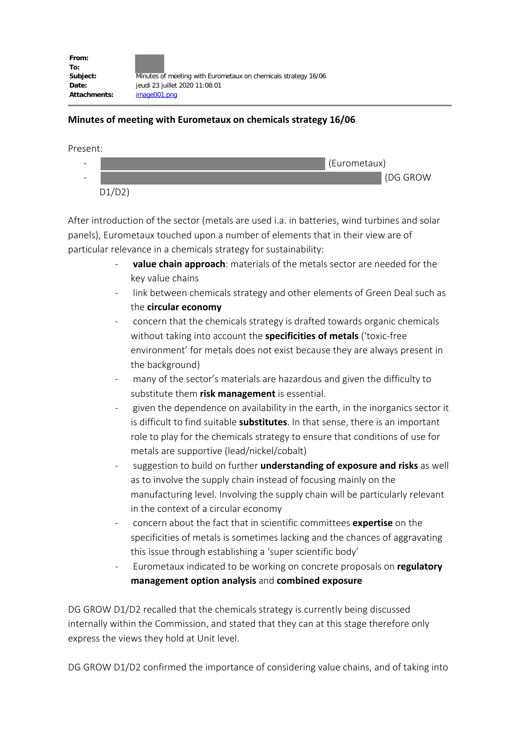| From:        |                                                                |
|--------------|----------------------------------------------------------------|
| To:          |                                                                |
| Subject:     | Minutes of meeting with Eurometaux on chemicals strategy 16/06 |
| Date:        | jeudi 23 juillet 2020 11:08:01                                 |
| Attachments: | image001.png                                                   |

## **Minutes of meeting with Eurometaux on chemicals strategy 16/06**

Present:



After introduction of the sector (metals are used i.a. in batteries, wind turbines and solar panels), Eurometaux touched upon a number of elements that in their view are of particular relevance in a chemicals strategy for sustainability:

- **value chain approach**: materials of the metals sector are needed for the key value chains
- link between chemicals strategy and other elements of Green Deal such as the **circular economy**
- concern that the chemicals strategy is drafted towards organic chemicals without taking into account the **specificities of metals** ('toxic-free environment' for metals does not exist because they are always present in the background)
- many of the sector's materials are hazardous and given the difficulty to substitute them **risk management** is essential.
- given the dependence on availability in the earth, in the inorganics sector it is difficult to find suitable **substitutes**. In that sense, there is an important role to play for the chemicals strategy to ensure that conditions of use for metals are supportive (lead/nickel/cobalt)
- suggestion to build on further **understanding of exposure and risks** as well as to involve the supply chain instead of focusing mainly on the manufacturing level. Involving the supply chain will be particularly relevant in the context of a circular economy
- concern about the fact that in scientific committees **expertise** on the specificities of metals is sometimes lacking and the chances of aggravating this issue through establishing a 'super scientific body'
- Eurometaux indicated to be working on concrete proposals on **regulatory management option analysis** and **combined exposure**

DG GROW D1/D2 recalled that the chemicals strategy is currently being discussed internally within the Commission, and stated that they can at this stage therefore only express the views they hold at Unit level.

DG GROW D1/D2 confirmed the importance of considering value chains, and of taking into